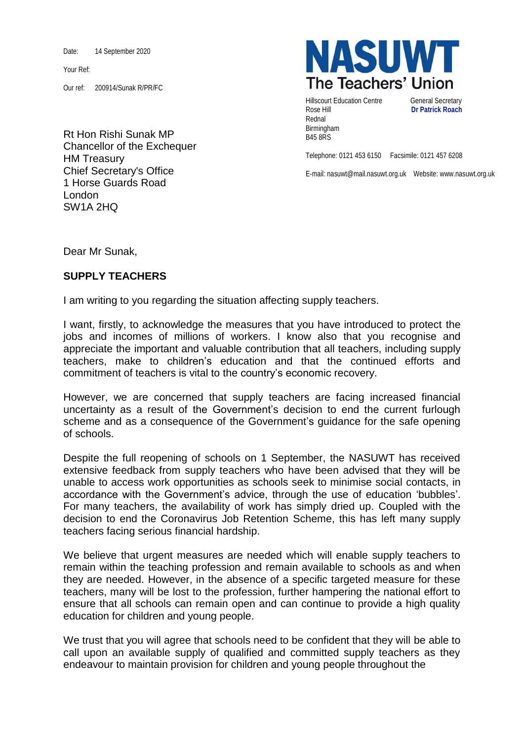Date: 14 September 2020

Your Ref:

Our ref: 200914/Sunak R/PR/FC

Rt Hon Rishi Sunak MP Chancellor of the Exchequer HM Treasury Chief Secretary's Office 1 Horse Guards Road London SW1A 2HQ



Hillscourt Education Centre **General Secretary** Rose Hill **Dr Patrick Roach** Rednal Birmingham B45 8RS

Telephone: 0121 453 6150 Facsimile: 0121 457 6208

E-mail: nasuwt@mail.nasuwt.org.uk Website: www.nasuwt.org.uk

Dear Mr Sunak,

## **SUPPLY TEACHERS**

I am writing to you regarding the situation affecting supply teachers.

I want, firstly, to acknowledge the measures that you have introduced to protect the jobs and incomes of millions of workers. I know also that you recognise and appreciate the important and valuable contribution that all teachers, including supply teachers, make to children's education and that the continued efforts and commitment of teachers is vital to the country's economic recovery.

However, we are concerned that supply teachers are facing increased financial uncertainty as a result of the Government's decision to end the current furlough scheme and as a consequence of the Government's guidance for the safe opening of schools.

Despite the full reopening of schools on 1 September, the NASUWT has received extensive feedback from supply teachers who have been advised that they will be unable to access work opportunities as schools seek to minimise social contacts, in accordance with the Government's advice, through the use of education 'bubbles'. For many teachers, the availability of work has simply dried up. Coupled with the decision to end the Coronavirus Job Retention Scheme, this has left many supply teachers facing serious financial hardship.

We believe that urgent measures are needed which will enable supply teachers to remain within the teaching profession and remain available to schools as and when they are needed. However, in the absence of a specific targeted measure for these teachers, many will be lost to the profession, further hampering the national effort to ensure that all schools can remain open and can continue to provide a high quality education for children and young people.

We trust that you will agree that schools need to be confident that they will be able to call upon an available supply of qualified and committed supply teachers as they endeavour to maintain provision for children and young people throughout the